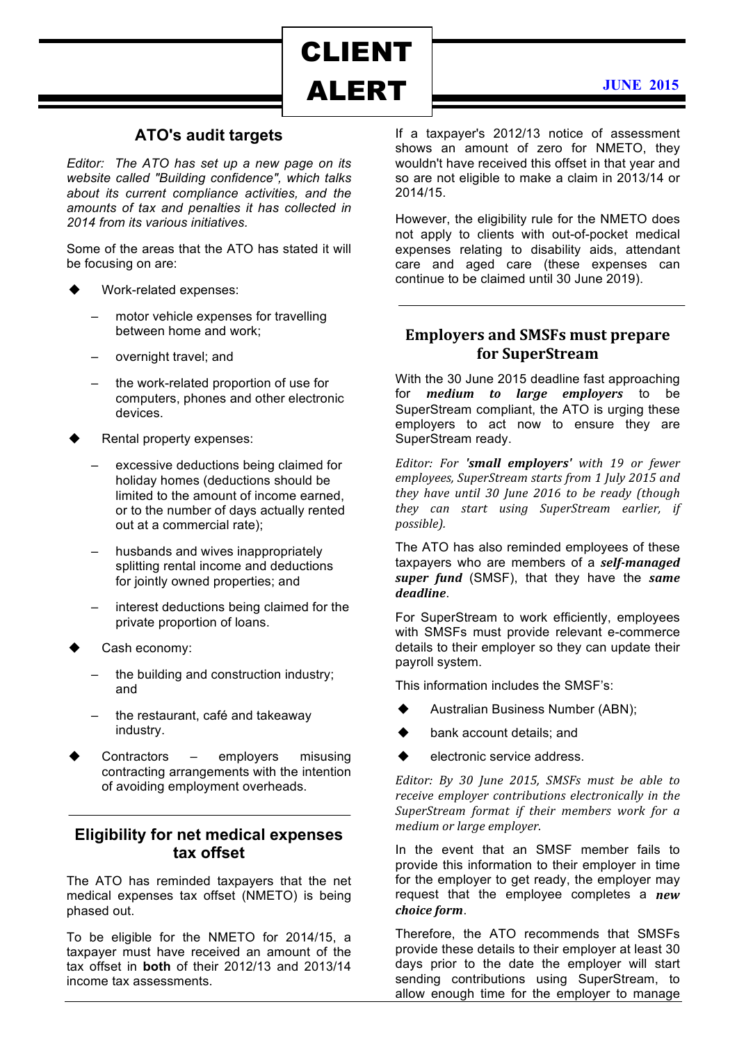

CLIENT

#### **JUNE 2015**

## **ATO's audit targets**

*Editor: The ATO has set up a new page on its website called "Building confidence", which talks about its current compliance activities, and the amounts of tax and penalties it has collected in 2014 from its various initiatives.*

Some of the areas that the ATO has stated it will be focusing on are:

- Work-related expenses:
	- motor vehicle expenses for travelling between home and work;
	- overnight travel; and
	- the work-related proportion of use for computers, phones and other electronic devices.
- Rental property expenses:
	- excessive deductions being claimed for holiday homes (deductions should be limited to the amount of income earned, or to the number of days actually rented out at a commercial rate);
	- husbands and wives inappropriately splitting rental income and deductions for jointly owned properties; and
	- interest deductions being claimed for the private proportion of loans.
- Cash economy:
	- the building and construction industry; and
	- the restaurant, café and takeaway industry.
- Contractors employers misusing contracting arrangements with the intention of avoiding employment overheads.

#### **Eligibility for net medical expenses tax offset**

The ATO has reminded taxpayers that the net medical expenses tax offset (NMETO) is being phased out.

To be eligible for the NMETO for 2014/15, a taxpayer must have received an amount of the tax offset in **both** of their 2012/13 and 2013/14 income tax assessments.

If a taxpayer's 2012/13 notice of assessment shows an amount of zero for NMETO, they wouldn't have received this offset in that year and so are not eligible to make a claim in 2013/14 or 2014/15.

However, the eligibility rule for the NMETO does not apply to clients with out-of-pocket medical expenses relating to disability aids, attendant care and aged care (these expenses can continue to be claimed until 30 June 2019).

## **Employers and SMSFs must prepare for SuperStream**

With the 30 June 2015 deadline fast approaching for *medium to large employers* to be SuperStream compliant, the ATO is urging these employers to act now to ensure they are SuperStream ready.

*Editor:* For 'small employers' with 19 or fewer employees, SuperStream starts from 1 July 2015 and *they have until 30 June 2016 to be ready (though they can start using SuperStream earlier, if possible).*

The ATO has also reminded employees of these taxpayers who are members of a *self-managed super fund* (SMSF), that they have the *same deadline*.

For SuperStream to work efficiently, employees with SMSFs must provide relevant e-commerce details to their employer so they can update their payroll system.

This information includes the SMSF's:

- Australian Business Number (ABN);
- bank account details; and
- electronic service address.

Editor: By 30 June 2015, SMSFs must be able to *receive employer contributions electronically in the* SuperStream format if their members work for a *medium or large employer.* 

In the event that an SMSF member fails to provide this information to their employer in time for the employer to get ready, the employer may request that the employee completes a *new choice form*.

Therefore, the ATO recommends that SMSFs provide these details to their employer at least 30 days prior to the date the employer will start sending contributions using SuperStream, to allow enough time for the employer to manage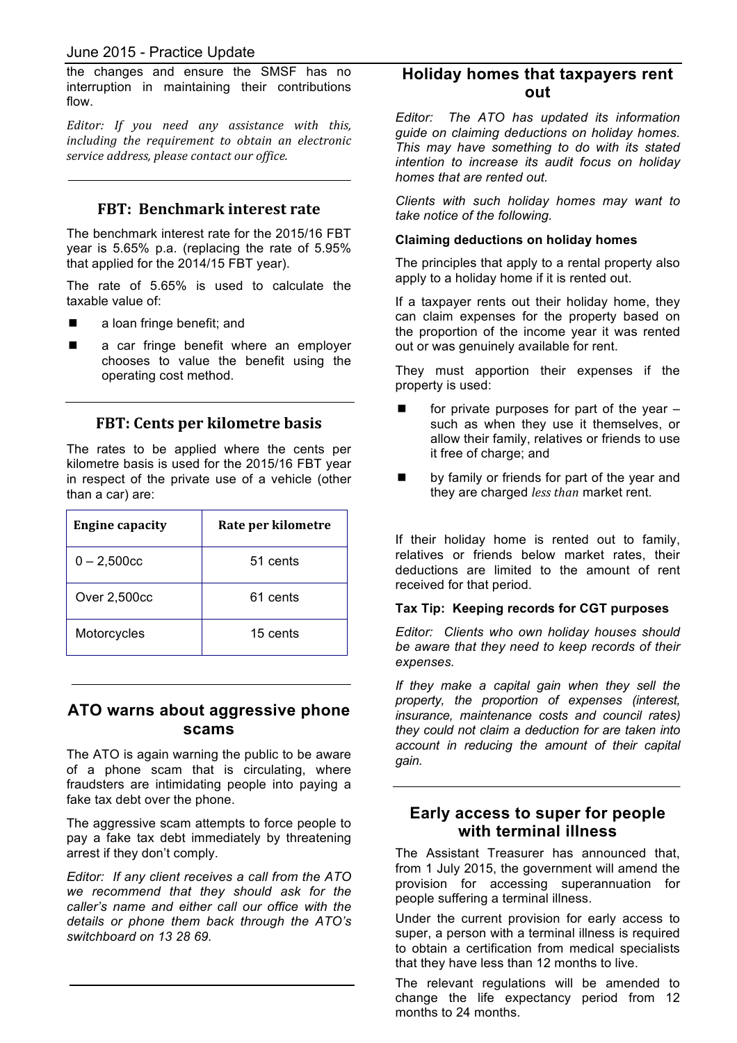#### June 2015 - Practice Update

the changes and ensure the SMSF has no interruption in maintaining their contributions flow.

Editor: If you need any assistance with this, *including the requirement to obtain an electronic* service address, please contact our office.

#### **FBT: Benchmark interest rate**

The benchmark interest rate for the 2015/16 FBT year is 5.65% p.a. (replacing the rate of 5.95% that applied for the 2014/15 FBT year).

The rate of 5.65% is used to calculate the taxable value of:

- a loan fringe benefit; and
- a car fringe benefit where an employer chooses to value the benefit using the operating cost method.

#### **FBT: Cents per kilometre basis**

The rates to be applied where the cents per kilometre basis is used for the 2015/16 FBT year in respect of the private use of a vehicle (other than a car) are:

| <b>Engine capacity</b> | Rate per kilometre |
|------------------------|--------------------|
| $0 - 2,500c$           | 51 cents           |
| Over 2,500cc           | 61 cents           |
| Motorcycles            | 15 cents           |

## **ATO warns about aggressive phone scams**

The ATO is again warning the public to be aware of a phone scam that is circulating, where fraudsters are intimidating people into paying a fake tax debt over the phone.

The aggressive scam attempts to force people to pay a fake tax debt immediately by threatening arrest if they don't comply.

*Editor: If any client receives a call from the ATO we recommend that they should ask for the caller's name and either call our office with the details or phone them back through the ATO's switchboard on 13 28 69.* 

#### **Holiday homes that taxpayers rent out**

*Editor: The ATO has updated its information guide on claiming deductions on holiday homes. This may have something to do with its stated intention to increase its audit focus on holiday homes that are rented out.*

*Clients with such holiday homes may want to take notice of the following.*

#### **Claiming deductions on holiday homes**

The principles that apply to a rental property also apply to a holiday home if it is rented out.

If a taxpayer rents out their holiday home, they can claim expenses for the property based on the proportion of the income year it was rented out or was genuinely available for rent.

They must apportion their expenses if the property is used:

- for private purposes for part of the year  $$ such as when they use it themselves, or allow their family, relatives or friends to use it free of charge; and
- by family or friends for part of the year and they are charged *less than* market rent.

If their holiday home is rented out to family, relatives or friends below market rates, their deductions are limited to the amount of rent received for that period.

#### **Tax Tip: Keeping records for CGT purposes**

*Editor: Clients who own holiday houses should be aware that they need to keep records of their expenses.* 

*If they make a capital gain when they sell the property, the proportion of expenses (interest, insurance, maintenance costs and council rates) they could not claim a deduction for are taken into account in reducing the amount of their capital gain.*

#### **Early access to super for people with terminal illness**

The Assistant Treasurer has announced that, from 1 July 2015, the government will amend the provision for accessing superannuation for people suffering a terminal illness.

Under the current provision for early access to super, a person with a terminal illness is required to obtain a certification from medical specialists that they have less than 12 months to live.

The relevant regulations will be amended to change the life expectancy period from 12 months to 24 months.